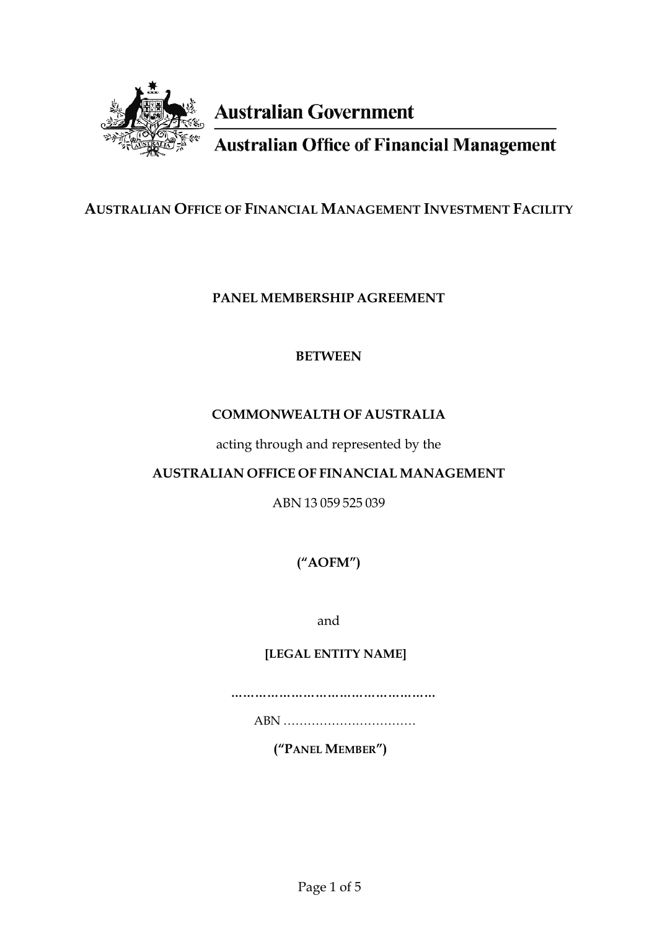

# **Australian Government**

**Australian Office of Financial Management** 

# **AUSTRALIAN OFFICE OF FINANCIAL MANAGEMENT INVESTMENT FACILITY**

## **PANEL MEMBERSHIP AGREEMENT**

## **BETWEEN**

# **COMMONWEALTH OF AUSTRALIA**

acting through and represented by the

## **AUSTRALIAN OFFICE OF FINANCIAL MANAGEMENT**

ABN 13 059 525 039

**("AOFM")** 

and

## **[LEGAL ENTITY NAME]**

**……………………………………………**

ABN ……………………………

**("PANEL MEMBER")**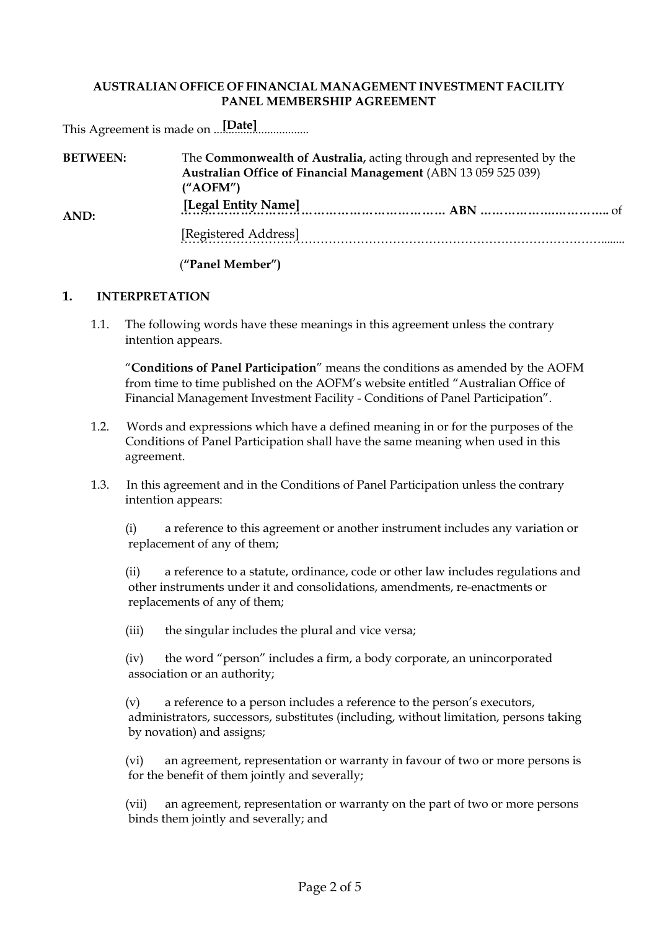## **AUSTRALIAN OFFICE OF FINANCIAL MANAGEMENT INVESTMENT FACILITY PANEL MEMBERSHIP AGREEMENT**

This Agreement is made on ................................ **[Date]**

| <b>BETWEEN:</b> | The Commonwealth of Australia, acting through and represented by the<br>Australian Office of Financial Management (ABN 13 059 525 039)<br>$(^{\prime\prime}AOFM^{\prime\prime})$ |  |  |
|-----------------|----------------------------------------------------------------------------------------------------------------------------------------------------------------------------------|--|--|
| AND:            | [Legal Entity Name]                                                                                                                                                              |  |  |
|                 | [Registered Address]                                                                                                                                                             |  |  |
|                 |                                                                                                                                                                                  |  |  |

(**"Panel Member")** 

## **1. INTERPRETATION**

1.1. The following words have these meanings in this agreement unless the contrary intention appears.

"**Conditions of Panel Participation**" means the conditions as amended by the AOFM from time to time published on the AOFM's website entitled "Australian Office of Financial Management Investment Facility - Conditions of Panel Participation".

- 1.2. Words and expressions which have a defined meaning in or for the purposes of the Conditions of Panel Participation shall have the same meaning when used in this agreement.
- 1.3. In this agreement and in the Conditions of Panel Participation unless the contrary intention appears:

(i) a reference to this agreement or another instrument includes any variation or replacement of any of them;

(ii) a reference to a statute, ordinance, code or other law includes regulations and other instruments under it and consolidations, amendments, re-enactments or replacements of any of them;

(iii) the singular includes the plural and vice versa;

(iv) the word "person" includes a firm, a body corporate, an unincorporated association or an authority;

(v) a reference to a person includes a reference to the person's executors, administrators, successors, substitutes (including, without limitation, persons taking by novation) and assigns;

(vi) an agreement, representation or warranty in favour of two or more persons is for the benefit of them jointly and severally;

(vii) an agreement, representation or warranty on the part of two or more persons binds them jointly and severally; and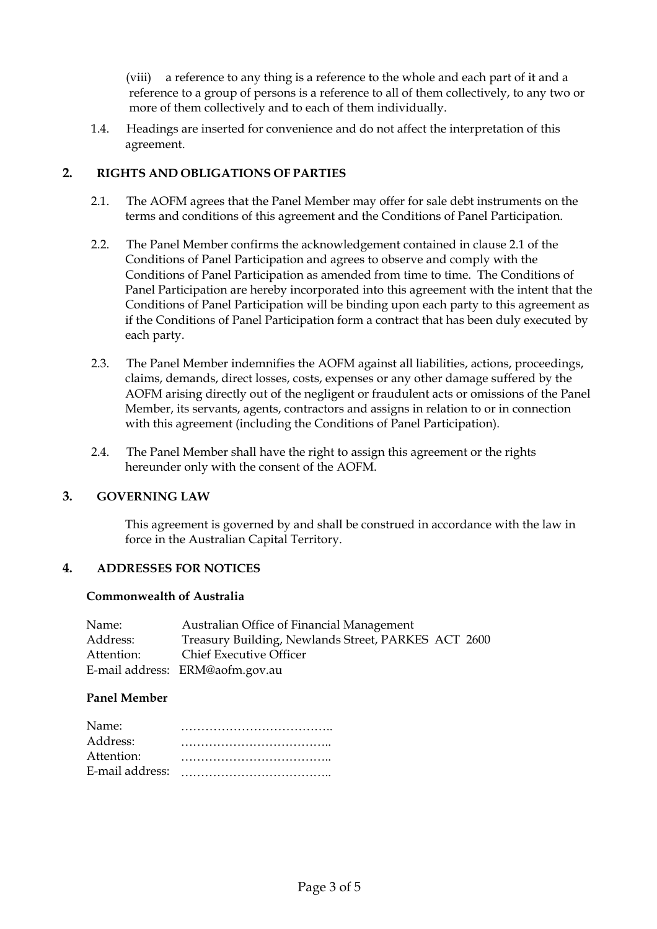(viii) a reference to any thing is a reference to the whole and each part of it and a reference to a group of persons is a reference to all of them collectively, to any two or more of them collectively and to each of them individually.

1.4. Headings are inserted for convenience and do not affect the interpretation of this agreement.

## **2. RIGHTS AND OBLIGATIONS OF PARTIES**

- 2.1. The AOFM agrees that the Panel Member may offer for sale debt instruments on the terms and conditions of this agreement and the Conditions of Panel Participation.
- 2.2. The Panel Member confirms the acknowledgement contained in clause 2.1 of the Conditions of Panel Participation and agrees to observe and comply with the Conditions of Panel Participation as amended from time to time. The Conditions of Panel Participation are hereby incorporated into this agreement with the intent that the Conditions of Panel Participation will be binding upon each party to this agreement as if the Conditions of Panel Participation form a contract that has been duly executed by each party.
- 2.3. The Panel Member indemnifies the AOFM against all liabilities, actions, proceedings, claims, demands, direct losses, costs, expenses or any other damage suffered by the AOFM arising directly out of the negligent or fraudulent acts or omissions of the Panel Member, its servants, agents, contractors and assigns in relation to or in connection with this agreement (including the Conditions of Panel Participation).
- 2.4. The Panel Member shall have the right to assign this agreement or the rights hereunder only with the consent of the AOFM.

## **3. GOVERNING LAW**

This agreement is governed by and shall be construed in accordance with the law in force in the Australian Capital Territory.

#### **4. ADDRESSES FOR NOTICES**

#### **Commonwealth of Australia**

| Name:      | Australian Office of Financial Management           |
|------------|-----------------------------------------------------|
| Address:   | Treasury Building, Newlands Street, PARKES ACT 2600 |
| Attention: | <b>Chief Executive Officer</b>                      |
|            | E-mail address: ERM@aofm.gov.au                     |

#### **Panel Member**

| Name:           |  |
|-----------------|--|
| Address:        |  |
| Attention:      |  |
| E-mail address: |  |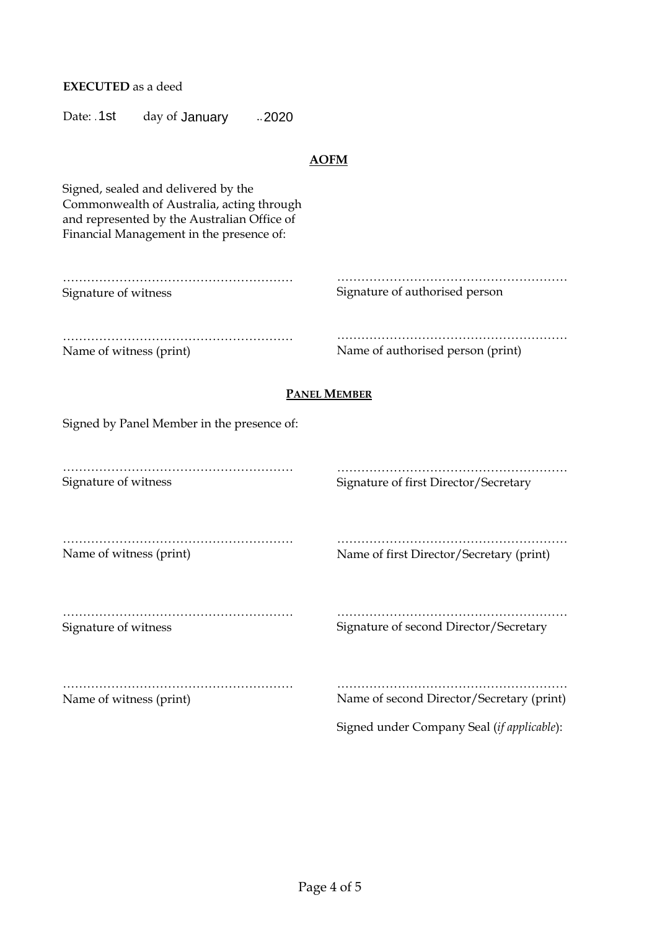**EXECUTED** as a deed

Date: 1st day of January 0.2020

| <b>AOFM</b>                                                                             |  |  |  |  |  |
|-----------------------------------------------------------------------------------------|--|--|--|--|--|
|                                                                                         |  |  |  |  |  |
| Signature of authorised person                                                          |  |  |  |  |  |
| Name of authorised person (print)                                                       |  |  |  |  |  |
| <b>PANEL MEMBER</b>                                                                     |  |  |  |  |  |
|                                                                                         |  |  |  |  |  |
| Signature of first Director/Secretary                                                   |  |  |  |  |  |
| Name of first Director/Secretary (print)                                                |  |  |  |  |  |
| Signature of second Director/Secretary                                                  |  |  |  |  |  |
| Name of second Director/Secretary (print)<br>Signed under Company Seal (if applicable): |  |  |  |  |  |
|                                                                                         |  |  |  |  |  |